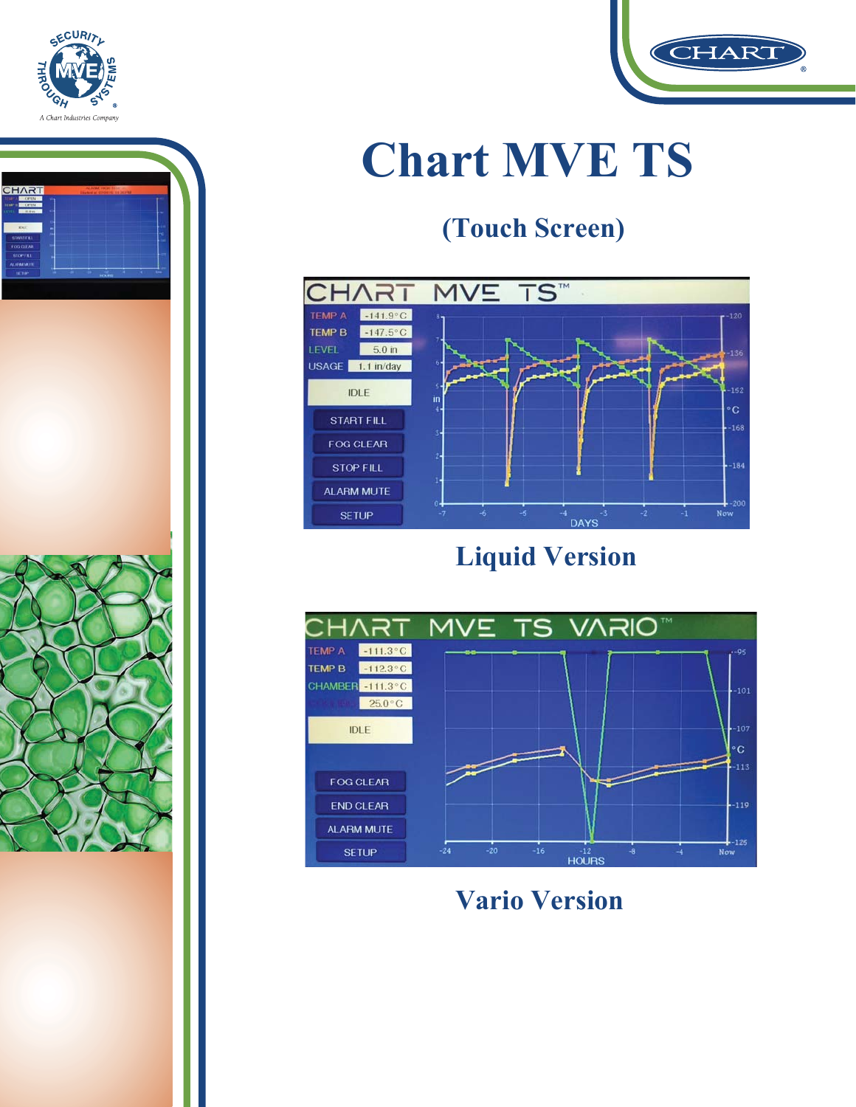



# **Chart MVE TS**

### (Touch Screen)



**Liquid Version** 



**Vario Version** 

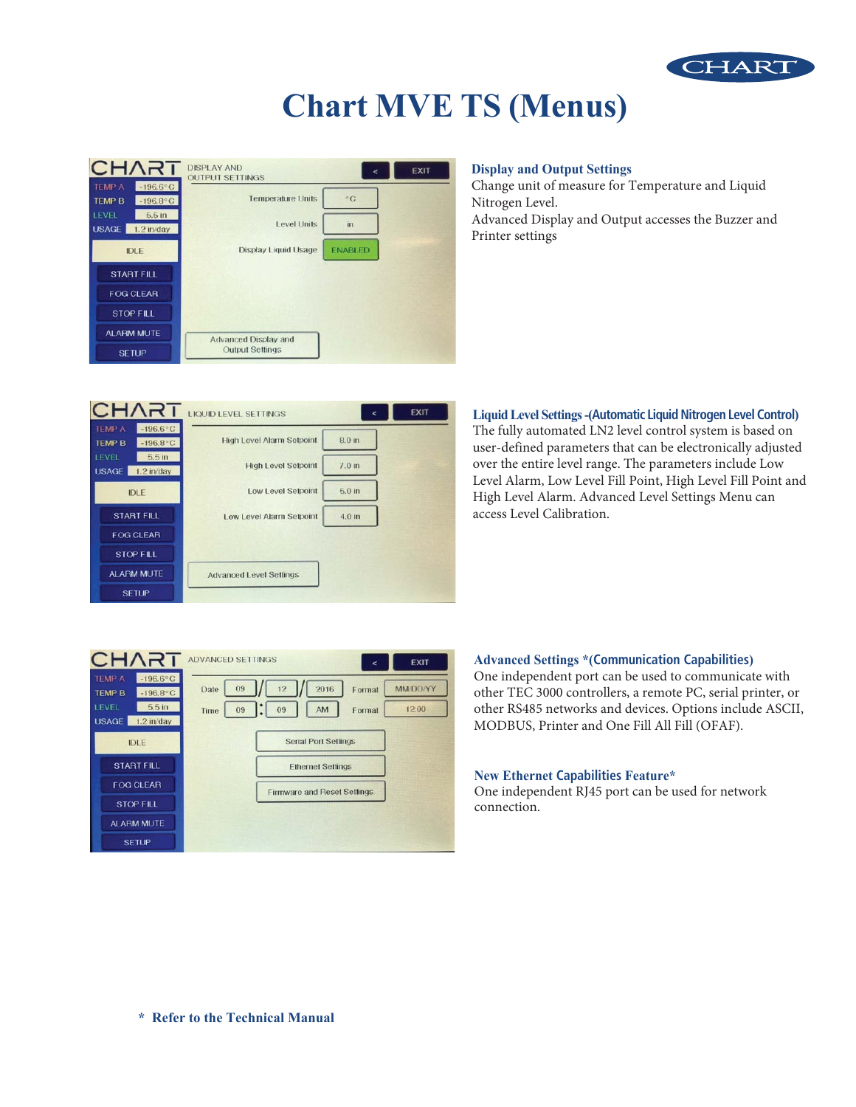

### **Chart MVE TS (Menus)**

| CHART                                                                      | <b>DISPLAY AND</b><br><b>OUTPUT SETTINGS</b> |                | <b>EXIT</b> |
|----------------------------------------------------------------------------|----------------------------------------------|----------------|-------------|
| $-196.6^{\circ}$ C<br><b>TEMP A</b><br>$-196.8^{\circ}$ C<br><b>TEMP B</b> | <b>Temperature Units</b>                     | $\overline{C}$ |             |
| LEVEL<br>5.5 <sub>in</sub><br><b>USAGE</b><br>$1.2$ in/day                 | <b>Level Units</b>                           | in             |             |
| <b>IDLE</b>                                                                | <b>Display Liquid Usage</b>                  | <b>ENABLED</b> |             |
| <b>START FILL</b>                                                          |                                              |                |             |
| <b>FOG CLEAR</b>                                                           |                                              |                |             |
| <b>STOP FILL</b>                                                           |                                              |                |             |
| ALARM MUTE                                                                 | <b>Advanced Display and</b>                  |                |             |
| <b>SETUP</b>                                                               | <b>Output Settings</b>                       |                |             |

### **Display and Output Settings**

Change unit of measure for Temperature and Liquid Nitrogen Level. Advanced Display and Output accesses the Buzzer and Printer settings



### **Liquid Level Settings - (Automatic Liquid Nitrogen Level Control)** The fully automated LN2 level control system is based on user-defined parameters that can be electronically adjusted over the entire level range. The parameters include Low Level Alarm, Low Level Fill Point, High Level Fill Point and High Level Alarm. Advanced Level Settings Menu can access Level Calibration.



### **Advanced Settings \*(Communication Capabilities)**

One independent port can be used to communicate with other TEC 3000 controllers, a remote PC, serial printer, or other RS485 networks and devices. Options include ASCII, MODBUS, Printer and One Fill All Fill (OFAF).

### **1Hz Capabilities** Feature\*

One independent RJ45 port can be used for network connection.

\* Refer to the Technical Manual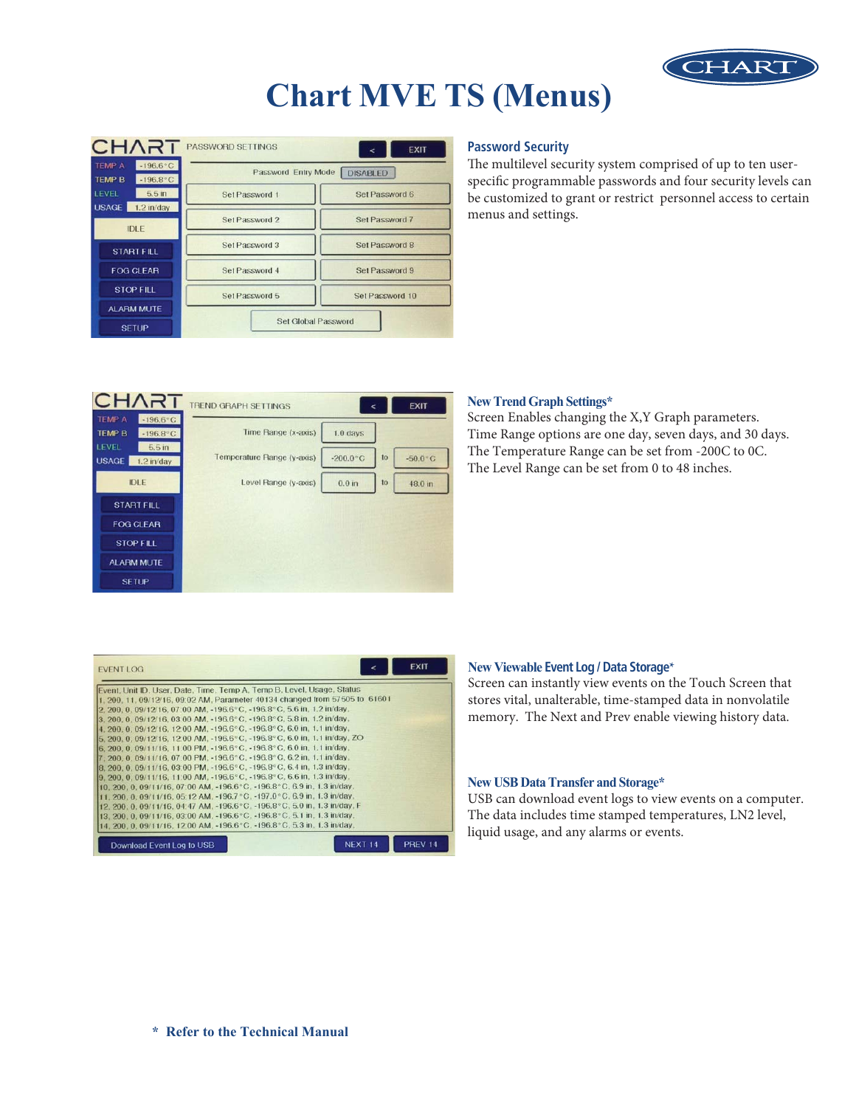

### **Chart MVE TS (Menus)**

|                                | CHART                                    | PASSWORD SETTINGS                      | <b>EXIT</b><br>⋖ |  |  |
|--------------------------------|------------------------------------------|----------------------------------------|------------------|--|--|
| <b>TEMP A</b><br><b>TEMP B</b> | $-196.6^{\circ}$ C<br>$-196.8^{\circ}$ C | Password Entry Mode<br><b>DISABLED</b> |                  |  |  |
| <b>LEVEL</b>                   | 5.5 <sub>in</sub>                        | Set Password 1                         | Set Password 6   |  |  |
| <b>USAGE</b>                   | $1.2$ in/day<br><b>IDLE</b>              | Set Password 2                         | Set Password 7   |  |  |
|                                | <b>START FILL</b>                        | Set Password 3                         | Set Password 8   |  |  |
|                                | <b>FOG CLEAR</b>                         | Set Password 4                         | Set Password 9   |  |  |
|                                | <b>STOP FILL</b>                         | Set Password 5                         | Set Password 10  |  |  |
|                                | <b>ALARM MUTE</b>                        |                                        |                  |  |  |
|                                | <b>SETUP</b>                             | Set Global Password                    |                  |  |  |

### **Password Security**

The multilevel security system comprised of up to ten userspecific programmable passwords and four security levels can be customized to grant or restrict personnel access to certain menus and settings.

| CHART                                                                      | <b>TREND GRAPH SETTINGS</b> |                   |                  | <b>EXIT</b>      |
|----------------------------------------------------------------------------|-----------------------------|-------------------|------------------|------------------|
| <b>TEMP A</b><br>$-196.6^{\circ}$ C<br>$-196.8^{\circ}$ C<br><b>TEMP B</b> | Time Range (x-axis)         | $1.0$ days        |                  |                  |
| LEVEL<br>5.5 <sub>in</sub><br><b>USAGE</b><br>$1.2$ in/day                 | Temperature Range (y-axis)  | $-200.0 °C$       | 10 <sub>o</sub>  | $-50.0\degree$ C |
| <b>IDLE</b>                                                                | Level Range (y-axis)        | 0.0 <sub>in</sub> | 10 <sub>10</sub> | 48.0 in          |
| <b>START FILL</b>                                                          |                             |                   |                  |                  |
| <b>FOG CLEAR</b>                                                           |                             |                   |                  |                  |
| <b>STOP FILL</b>                                                           |                             |                   |                  |                  |
| <b>ALARM MUTE</b>                                                          |                             |                   |                  |                  |
| <b>SETUP</b>                                                               |                             |                   |                  |                  |

#### **1Hz7UPS 1Hz7UPS 1Hz7UPS 1Hz7UPS 1Hz7UPS 1Hz7UPS 1Hz7UPS 1Hz7UPS 1Hz7UPS 1Hz7UPS 1Hz7UPS 1Hz7UPS 1Hz7UPS 1Hz7UPS 1Hz7UPS 1Hz7UPS 1Hz7UPS 1Hz7UPS 1Hz7UPS 1Hz7UPS 1Hz7UPS 1Hz7UPS 1**

Screen Enables changing the X,Y Graph parameters. Time Range options are one day, seven days, and 30 days. The Temperature Range can be set from -200C to 0C. The Level Range can be set from 0 to 48 inches.

| <b>EVENT LOG</b>                                                            |                    | <b>EXIT</b>        |
|-----------------------------------------------------------------------------|--------------------|--------------------|
| Event, Unit ID, User, Date, Time, Temp A, Temp B, Level, Usage, Status      |                    |                    |
| 1, 200, 11, 09/12/16, 09:02 AM, Parameter 40134 changed from 57505 to 61601 |                    |                    |
| 2, 200, 0, 09/12/16, 07:00 AM, -196.6°C, -196.8°C, 5.6 in, 1.2 in/day,      |                    |                    |
| 3. 200, 0, 09/12/16, 03:00 AM, -196.6°C, -196.8°C, 5.8 in, 1.2 in/day,      |                    |                    |
| 4.200.0.09/12/16.12:00 AM. -196.6°C. -196.8°C. 6.0 in. 1.1 in/day.          |                    |                    |
| 5. 200, 0, 09/12/16, 12:00 AM, -196.6°C, -196.8°C, 6.0 in, 1.1 in/day, ZO   |                    |                    |
| 6.200.0.09/11/16.11:00 PM. -196.6°C. -196.8°C. 6.0 in. 1.1 in/day.          |                    |                    |
| 7.200.0.09/11/16.07:00 PM. -196.6°C. -196.8°C. 6.2 in. 1.1 in/day.          |                    |                    |
| 8.200.0.09/11/16.03.00 PM. -196.6°C. -196.8°C. 6.4 in. 1.3 in/day.          |                    |                    |
| 9.200.0.09/11/16.11:00 AM. -196.6°C. -196.8°C. 6.6 in. 1.3 in/day.          |                    |                    |
| 10. 200, 0, 09/11/16, 07:00 AM, -196.6°C, -196.8°C, 6.9 in, 1.3 in/day,     |                    |                    |
| 11, 200, 0, 09/11/16, 05:12 AM, -196.7 °C, -197.0 °C, 6.9 in, 1.3 in/day,   |                    |                    |
| 12, 200, 0, 09/11/16, 04:47 AM, -196.6°C, -196.8°C, 5.0 in, 1.3 in/day, F   |                    |                    |
| 13, 200, 0, 09/11/16, 03:00 AM, -196.6°C, -196.8°C, 5.1 in, 1.3 in/day,     |                    |                    |
| 14. 200. 0. 09/11/16. 12:00 AM. -196.6°C. -196.8°C. 5.3 in. 1.3 in/day.     |                    |                    |
| Download Event Log to USB                                                   | NEXT <sub>14</sub> | PREV <sub>14</sub> |

#### **New Viewable Event Log / Data Storage\***

Screen can instantly view events on the Touch Screen that stores vital, unalterable, time-stamped data in nonvolatile memory. The Next and Prev enable viewing history data.

#### New USB Data Transfer and Storage\*

USB can download event logs to view events on a computer. The data includes time stamped temperatures, LN2 level, liquid usage, and any alarms or events.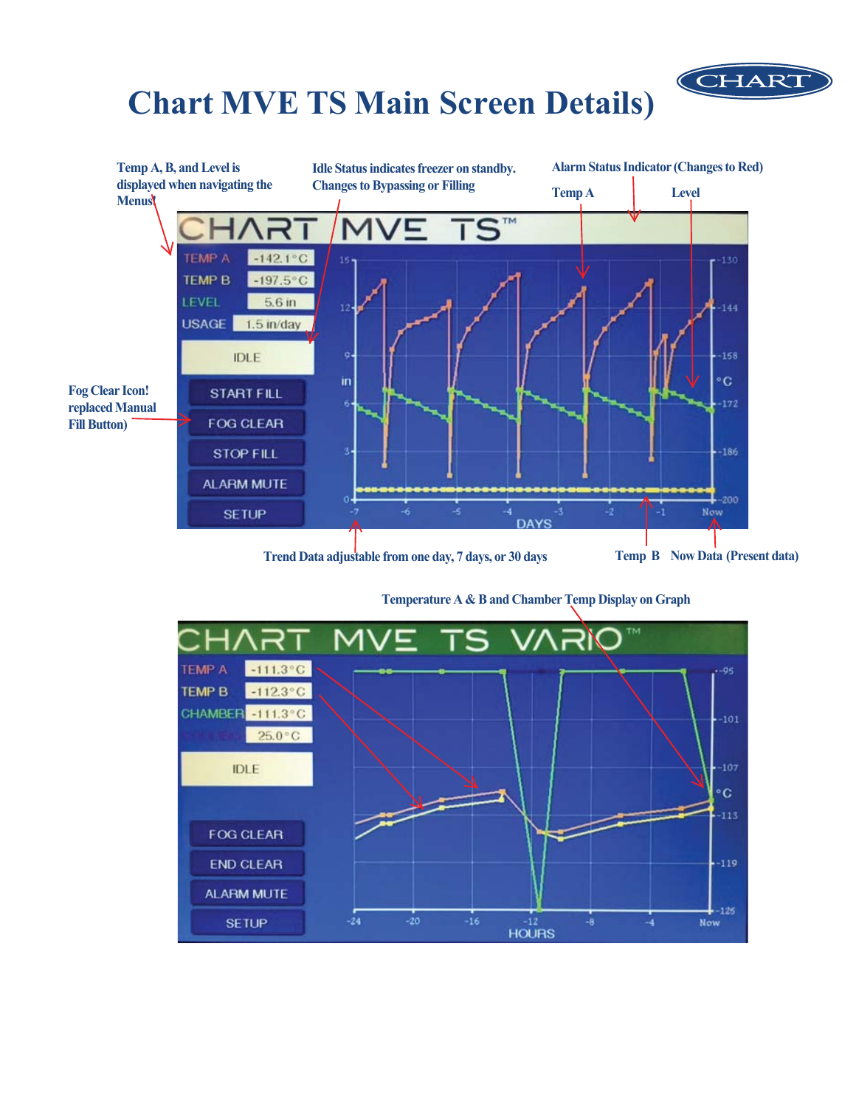# **Chart MVE TS Main Screen Details)**



Temperature A & B and Chamber Temp Display on Graph

CHART